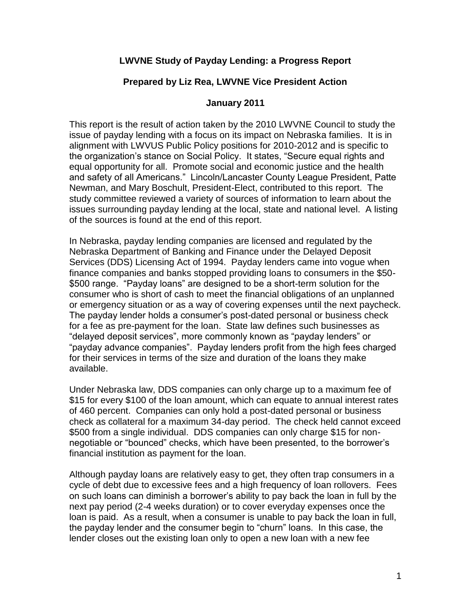## **LWVNE Study of Payday Lending: a Progress Report**

## **Prepared by Liz Rea, LWVNE Vice President Action**

## **January 2011**

This report is the result of action taken by the 2010 LWVNE Council to study the issue of payday lending with a focus on its impact on Nebraska families. It is in alignment with LWVUS Public Policy positions for 2010-2012 and is specific to the organization's stance on Social Policy. It states, "Secure equal rights and equal opportunity for all. Promote social and economic justice and the health and safety of all Americans." Lincoln/Lancaster County League President, Patte Newman, and Mary Boschult, President-Elect, contributed to this report. The study committee reviewed a variety of sources of information to learn about the issues surrounding payday lending at the local, state and national level. A listing of the sources is found at the end of this report.

In Nebraska, payday lending companies are licensed and regulated by the Nebraska Department of Banking and Finance under the Delayed Deposit Services (DDS) Licensing Act of 1994. Payday lenders came into vogue when finance companies and banks stopped providing loans to consumers in the \$50- \$500 range. "Payday loans" are designed to be a short-term solution for the consumer who is short of cash to meet the financial obligations of an unplanned or emergency situation or as a way of covering expenses until the next paycheck. The payday lender holds a consumer's post-dated personal or business check for a fee as pre-payment for the loan. State law defines such businesses as "delayed deposit services", more commonly known as "payday lenders" or "payday advance companies". Payday lenders profit from the high fees charged for their services in terms of the size and duration of the loans they make available.

Under Nebraska law, DDS companies can only charge up to a maximum fee of \$15 for every \$100 of the loan amount, which can equate to annual interest rates of 460 percent. Companies can only hold a post-dated personal or business check as collateral for a maximum 34-day period. The check held cannot exceed \$500 from a single individual. DDS companies can only charge \$15 for nonnegotiable or "bounced" checks, which have been presented, to the borrower's financial institution as payment for the loan.

Although payday loans are relatively easy to get, they often trap consumers in a cycle of debt due to excessive fees and a high frequency of loan rollovers. Fees on such loans can diminish a borrower's ability to pay back the loan in full by the next pay period (2-4 weeks duration) or to cover everyday expenses once the loan is paid. As a result, when a consumer is unable to pay back the loan in full, the payday lender and the consumer begin to "churn" loans. In this case, the lender closes out the existing loan only to open a new loan with a new fee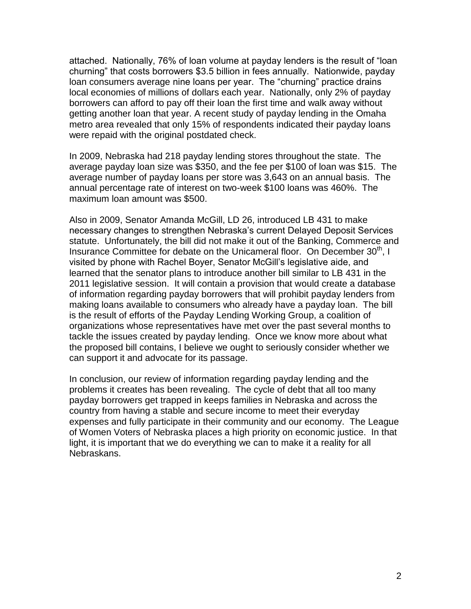attached. Nationally, 76% of loan volume at payday lenders is the result of "loan churning" that costs borrowers \$3.5 billion in fees annually. Nationwide, payday loan consumers average nine loans per year. The "churning" practice drains local economies of millions of dollars each year. Nationally, only 2% of payday borrowers can afford to pay off their loan the first time and walk away without getting another loan that year. A recent study of payday lending in the Omaha metro area revealed that only 15% of respondents indicated their payday loans were repaid with the original postdated check.

In 2009, Nebraska had 218 payday lending stores throughout the state. The average payday loan size was \$350, and the fee per \$100 of loan was \$15. The average number of payday loans per store was 3,643 on an annual basis. The annual percentage rate of interest on two-week \$100 loans was 460%. The maximum loan amount was \$500.

Also in 2009, Senator Amanda McGill, LD 26, introduced LB 431 to make necessary changes to strengthen Nebraska's current Delayed Deposit Services statute. Unfortunately, the bill did not make it out of the Banking, Commerce and Insurance Committee for debate on the Unicameral floor. On December  $30<sup>th</sup>$ , I visited by phone with Rachel Boyer, Senator McGill's legislative aide, and learned that the senator plans to introduce another bill similar to LB 431 in the 2011 legislative session. It will contain a provision that would create a database of information regarding payday borrowers that will prohibit payday lenders from making loans available to consumers who already have a payday loan. The bill is the result of efforts of the Payday Lending Working Group, a coalition of organizations whose representatives have met over the past several months to tackle the issues created by payday lending. Once we know more about what the proposed bill contains, I believe we ought to seriously consider whether we can support it and advocate for its passage.

In conclusion, our review of information regarding payday lending and the problems it creates has been revealing. The cycle of debt that all too many payday borrowers get trapped in keeps families in Nebraska and across the country from having a stable and secure income to meet their everyday expenses and fully participate in their community and our economy. The League of Women Voters of Nebraska places a high priority on economic justice. In that light, it is important that we do everything we can to make it a reality for all Nebraskans.